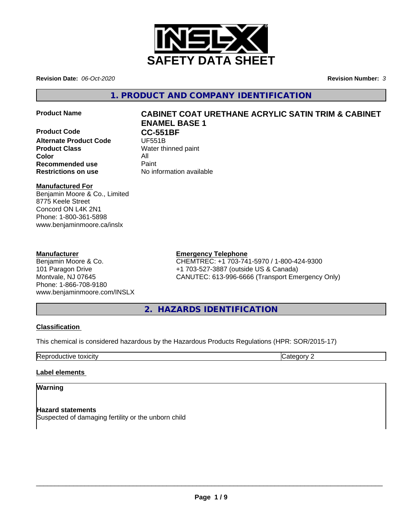

**Revision Date:** *06-Oct-2020* **Revision Number:** *3*

**1. PRODUCT AND COMPANY IDENTIFICATION**

**Product Code CC-551BF**<br>Alternate Product Code **UF551B Alternate Product Code Product Class** Water thinned paint **Color** All **All**<br> **Recommended use** Paint **Recommended use Restrictions on use** No information available

# **Product Name CABINET COAT URETHANE ACRYLIC SATIN TRIM & CABINET ENAMEL BASE 1**

# **Manufactured For**

Benjamin Moore & Co., Limited 8775 Keele Street Concord ON L4K 2N1 Phone: 1-800-361-5898 www.benjaminmoore.ca/inslx

# **Manufacturer**

Benjamin Moore & Co. 101 Paragon Drive Montvale, NJ 07645 Phone: 1-866-708-9180 www.benjaminmoore.com/INSLX

# **Emergency Telephone**

CHEMTREC: +1 703-741-5970 / 1-800-424-9300 +1 703-527-3887 (outside US & Canada) CANUTEC: 613-996-6666 (Transport Emergency Only)

**2. HAZARDS IDENTIFICATION**

# **Classification**

This chemical is considered hazardous by the Hazardous Products Regulations (HPR: SOR/2015-17)

Reproductive toxicity **Category 2 Category 2** 

# **Label elements**

# **Warning**

**Hazard statements** Suspected of damaging fertility or the unborn child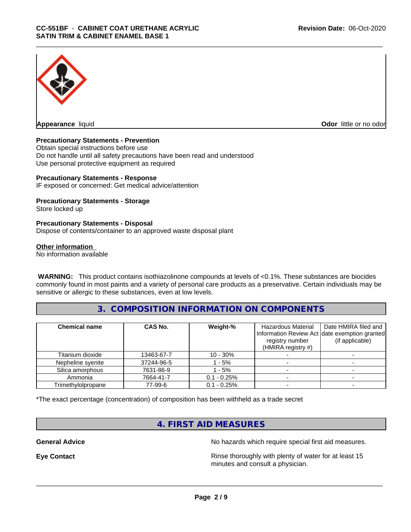

**Appearance** liquid

**Odor** little or no odor

### **Precautionary Statements - Prevention**

Obtain special instructions before use Do not handle until all safety precautions have been read and understood Use personal protective equipment as required

#### **Precautionary Statements - Response**

IF exposed or concerned: Get medical advice/attention

#### **Precautionary Statements - Storage**

Store locked up

#### **Precautionary Statements - Disposal**

Dispose of contents/container to an approved waste disposal plant

#### **Other information**

No information available

 **WARNING:** This product contains isothiazolinone compounds at levels of <0.1%. These substances are biocides commonly found in most paints and a variety of personal care products as a preservative. Certain individuals may be sensitive or allergic to these substances, even at low levels.

# **3. COMPOSITION INFORMATION ON COMPONENTS**

| <b>Chemical name</b> | CAS No.    | Weight-%       | Hazardous Material<br>registry number<br>(HMIRA registry $#$ ) | Date HMIRA filed and<br>Information Review Act date exemption granted<br>(if applicable) |
|----------------------|------------|----------------|----------------------------------------------------------------|------------------------------------------------------------------------------------------|
| Titanium dioxide     | 13463-67-7 | $10 - 30\%$    |                                                                |                                                                                          |
| Nepheline syenite    | 37244-96-5 | $-5%$          |                                                                |                                                                                          |
| Silica amorphous     | 7631-86-9  | $-5%$          |                                                                |                                                                                          |
| Ammonia              | 7664-41-7  | $0.1 - 0.25%$  |                                                                |                                                                                          |
| Trimethylolpropane   | 77-99-6    | $0.1 - 0.25\%$ |                                                                |                                                                                          |

\*The exact percentage (concentration) of composition has been withheld as a trade secret

# **4. FIRST AID MEASURES**

**General Advice** No hazards which require special first aid measures.

**Eye Contact Exercise 2.1 All 2.5 All 2.5 All 2.6 All 2.6 All 2.6 All 2.6 All 2.6 All 2.6 All 2.6 All 2.6 All 2.6 All 2.6 All 2.6 All 2.6 All 2.6 All 2.6 All 2.6 All 2.6 All 2.6 All 2.6 All 2.6 All 2.6 All 2.6 All 2.6 Al** minutes and consult a physician.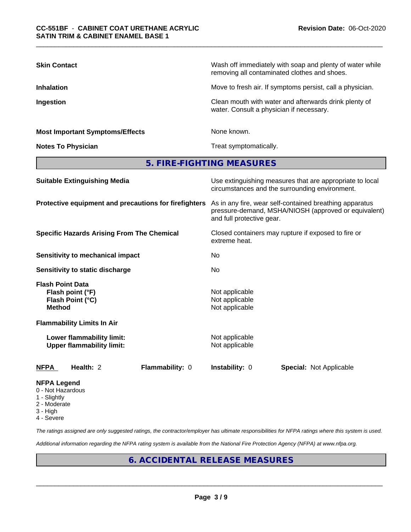| <b>Skin Contact</b>                                                              | Wash off immediately with soap and plenty of water while<br>removing all contaminated clothes and shoes.                                     |  |  |  |
|----------------------------------------------------------------------------------|----------------------------------------------------------------------------------------------------------------------------------------------|--|--|--|
| <b>Inhalation</b>                                                                | Move to fresh air. If symptoms persist, call a physician.                                                                                    |  |  |  |
| Ingestion                                                                        | Clean mouth with water and afterwards drink plenty of<br>water. Consult a physician if necessary.                                            |  |  |  |
| <b>Most Important Symptoms/Effects</b>                                           | None known.                                                                                                                                  |  |  |  |
| <b>Notes To Physician</b>                                                        | Treat symptomatically.                                                                                                                       |  |  |  |
|                                                                                  | 5. FIRE-FIGHTING MEASURES                                                                                                                    |  |  |  |
| <b>Suitable Extinguishing Media</b>                                              | Use extinguishing measures that are appropriate to local<br>circumstances and the surrounding environment.                                   |  |  |  |
| Protective equipment and precautions for firefighters                            | As in any fire, wear self-contained breathing apparatus<br>pressure-demand, MSHA/NIOSH (approved or equivalent)<br>and full protective gear. |  |  |  |
| <b>Specific Hazards Arising From The Chemical</b>                                | Closed containers may rupture if exposed to fire or<br>extreme heat.                                                                         |  |  |  |
| <b>Sensitivity to mechanical impact</b>                                          | No                                                                                                                                           |  |  |  |
| Sensitivity to static discharge                                                  | No                                                                                                                                           |  |  |  |
| <b>Flash Point Data</b><br>Flash point (°F)<br>Flash Point (°C)<br><b>Method</b> | Not applicable<br>Not applicable<br>Not applicable                                                                                           |  |  |  |
| <b>Flammability Limits In Air</b>                                                |                                                                                                                                              |  |  |  |
| <b>Lower flammability limit:</b><br><b>Upper flammability limit:</b>             | Not applicable<br>Not applicable                                                                                                             |  |  |  |
| Health: 2<br>Flammability: 0<br><b>NFPA</b>                                      | Instability: 0<br><b>Special: Not Applicable</b>                                                                                             |  |  |  |
| <b>NFPA Legend</b>                                                               |                                                                                                                                              |  |  |  |

- 0 Not Hazardous
- 1 Slightly
- 2 Moderate
- 3 High
- 4 Severe

*The ratings assigned are only suggested ratings, the contractor/employer has ultimate responsibilities for NFPA ratings where this system is used.*

*Additional information regarding the NFPA rating system is available from the National Fire Protection Agency (NFPA) at www.nfpa.org.*

# **6. ACCIDENTAL RELEASE MEASURES**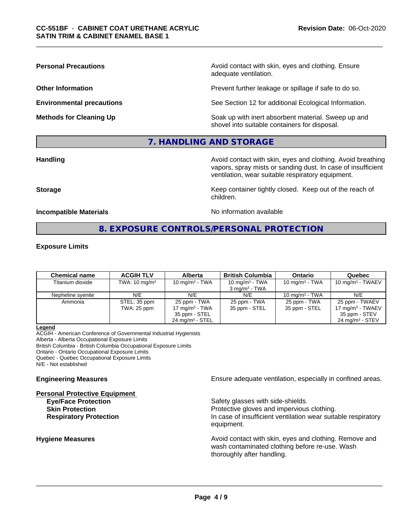**Personal Precautions Precautions** Avoid contact with skin, eyes and clothing. Ensure adequate ventilation.

**Other Information Other Information Prevent further leakage or spillage if safe to do so.** 

**Environmental precautions** See Section 12 for additional Ecological Information.

**Methods for Cleaning Up Example 20 All 20 All 20 All 20 Soak** up with inert absorbent material. Sweep up and shovel into suitable containers for disposal.

# **7. HANDLING AND STORAGE**

**Handling Handling Avoid contact with skin, eyes and clothing. Avoid breathing** vapors, spray mists or sanding dust. In case of insufficient ventilation, wear suitable respiratory equipment.

**Storage Keep container tightly closed. Keep out of the reach of Keep** container tightly closed. Keep out of the reach of

**Incompatible Materials No information available** 

# **8. EXPOSURE CONTROLS/PERSONAL PROTECTION**

children.

#### **Exposure Limits**

| <b>Chemical name</b> | <b>ACGIH TLV</b>            | <b>Alberta</b>                                                                   | <b>British Columbia</b>                       | <b>Ontario</b>                | Quebec                                                                                       |
|----------------------|-----------------------------|----------------------------------------------------------------------------------|-----------------------------------------------|-------------------------------|----------------------------------------------------------------------------------------------|
| Titanium dioxide     | TWA: $10 \text{ mg/m}^3$    | 10 mg/m $3$ - TWA                                                                | 10 mg/m $3$ - TWA<br>$3 \text{ ma/m}^3$ - TWA | 10 mg/m $3$ - TWA             | $10 \text{ mg/m}^3$ - TWAEV                                                                  |
| Nepheline syenite    | N/E                         | N/E                                                                              | N/E                                           | 10 mg/m $3$ - TWA             | N/E                                                                                          |
| Ammonia              | STEL: 35 ppm<br>TWA: 25 ppm | 25 ppm - TWA<br>17 mg/m $3$ - TWA<br>35 ppm - STEL<br>$24 \text{ mg/m}^3$ - STEL | 25 ppm - TWA<br>35 ppm - STEL                 | 25 ppm - TWA<br>35 ppm - STEL | 25 ppm - TWAEV<br>$17 \text{ mg/m}^3$ - TWAEV<br>35 ppm - STEV<br>$24 \text{ mg/m}^3$ - STEV |

#### **Legend**

ACGIH - American Conference of Governmental Industrial Hygienists Alberta - Alberta Occupational Exposure Limits British Columbia - British Columbia Occupational Exposure Limits Ontario - Ontario Occupational Exposure Limits Quebec - Quebec Occupational Exposure Limits N/E - Not established

#### **Personal Protective Equipment**

**Engineering Measures Ensure** Ensure adequate ventilation, especially in confined areas.

**Eye/Face Protection Safety glasses with side-shields. Skin Protection Protection Protective gloves and impervious clothing. Respiratory Protection In case of insufficient ventilation wear suitable respiratory** equipment.

**Hygiene Measures Avoid contact with skin, eyes and clothing. Remove and Avoid contact with skin, eyes and clothing. Remove and Avoid contact with skin, eyes and clothing. Remove and** wash contaminated clothing before re-use. Wash thoroughly after handling.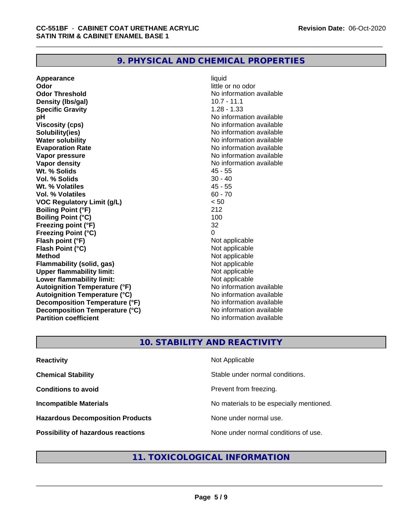# **9. PHYSICAL AND CHEMICAL PROPERTIES**

**Appearance** liquid **Odor** little or no odor **Odor Threshold No information available No information available Density (lbs/gal)** 10.7 - 11.1 **Specific Gravity** 1.28 - 1.33 **pH** No information available **Viscosity (cps)** No information available **Solubility(ies)** No information available **Water solubility**<br> **Evaporation Rate**<br> **Evaporation Rate**<br> **Evaporation Rate Vapor pressure** No information available **Vapor density**<br> **We Solids** Museum Museum Museum Museum AS - 55<br>
45 - 55 Wt. % Solids **Vol. % Solids** 30 - 40 **Wt. % Volatiles** 45 - 55 **Vol. % Volatiles** 60 - 70 **VOC Regulatory Limit (g/L)** < 50 **Boiling Point (°F)** 212 **Boiling Point (°C)** 100 **Freezing point (°F)** 32 **Freezing Point (°C)** 0 **Flash point (°F)**<br> **Flash Point (°C)**<br> **Flash Point (°C)**<br> **Not** applicable **Flash Point (°C) Method**<br> **Flammability (solid, gas)**<br> **Example 2018** Not applicable **Flammability** (solid, gas) **Upper flammability limit:** Not applicable **Lower flammability limit:**<br> **Autoignition Temperature (°F)** Not applicable Not applicable not a Not applicable **Autoignition Temperature (°F) Autoignition Temperature (°C)**<br> **Decomposition Temperature (°F)** No information available **Decomposition Temperature (°F) Decomposition Temperature (°C)** No information available **Partition coefficient Contract Community No information available** 

**Evaporation Rate** No information available

# **10. STABILITY AND REACTIVITY**

| <b>Reactivity</b>                       | Not Applicable                           |
|-----------------------------------------|------------------------------------------|
| <b>Chemical Stability</b>               | Stable under normal conditions.          |
| <b>Conditions to avoid</b>              | Prevent from freezing.                   |
| <b>Incompatible Materials</b>           | No materials to be especially mentioned. |
| <b>Hazardous Decomposition Products</b> | None under normal use.                   |
| Possibility of hazardous reactions      | None under normal conditions of use.     |

# **11. TOXICOLOGICAL INFORMATION**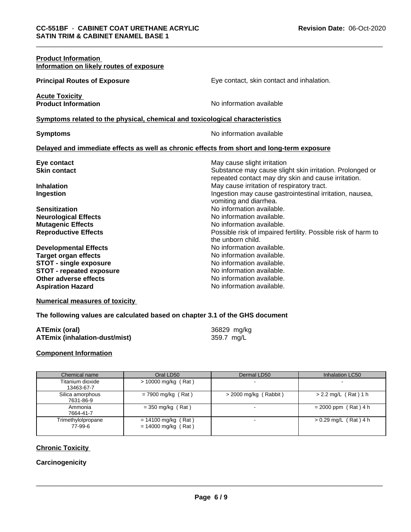| <b>Product Information</b><br>Information on likely routes of exposure                                                                                                               |                                                                                                                                                                                                                                                                                    |
|--------------------------------------------------------------------------------------------------------------------------------------------------------------------------------------|------------------------------------------------------------------------------------------------------------------------------------------------------------------------------------------------------------------------------------------------------------------------------------|
| <b>Principal Routes of Exposure</b>                                                                                                                                                  | Eye contact, skin contact and inhalation.                                                                                                                                                                                                                                          |
| <b>Acute Toxicity</b><br><b>Product Information</b>                                                                                                                                  | No information available                                                                                                                                                                                                                                                           |
| Symptoms related to the physical, chemical and toxicological characteristics                                                                                                         |                                                                                                                                                                                                                                                                                    |
| <b>Symptoms</b>                                                                                                                                                                      | No information available                                                                                                                                                                                                                                                           |
| Delayed and immediate effects as well as chronic effects from short and long-term exposure                                                                                           |                                                                                                                                                                                                                                                                                    |
| Eye contact<br><b>Skin contact</b><br><b>Inhalation</b><br>Ingestion                                                                                                                 | May cause slight irritation<br>Substance may cause slight skin irritation. Prolonged or<br>repeated contact may dry skin and cause irritation.<br>May cause irritation of respiratory tract.<br>Ingestion may cause gastrointestinal irritation, nausea,<br>vomiting and diarrhea. |
| <b>Sensitization</b><br><b>Neurological Effects</b><br><b>Mutagenic Effects</b><br><b>Reproductive Effects</b>                                                                       | No information available.<br>No information available.<br>No information available.<br>Possible risk of impaired fertility. Possible risk of harm to<br>the unborn child.                                                                                                          |
| <b>Developmental Effects</b><br><b>Target organ effects</b><br><b>STOT - single exposure</b><br><b>STOT - repeated exposure</b><br>Other adverse effects<br><b>Aspiration Hazard</b> | No information available.<br>No information available.<br>No information available.<br>No information available.<br>No information available.<br>No information available.                                                                                                         |

**Numerical measures of toxicity**

**The following values are calculated based on chapter 3.1 of the GHS document**

| ATEmix (oral)                 | 36829 mg/kg |
|-------------------------------|-------------|
| ATEmix (inhalation-dust/mist) | 359.7 mg/L  |

### **Component Information**

| Chemical name                 | Oral LD50                                      | Dermal LD50             | Inhalation LC50         |
|-------------------------------|------------------------------------------------|-------------------------|-------------------------|
| Titanium dioxide              | $> 10000$ mg/kg (Rat)                          |                         |                         |
| 13463-67-7                    |                                                |                         |                         |
| Silica amorphous<br>7631-86-9 | $= 7900$ mg/kg (Rat)                           | $>$ 2000 mg/kg (Rabbit) | $> 2.2$ mg/L (Rat) 1 h  |
| Ammonia<br>7664-41-7          | $=$ 350 mg/kg (Rat)                            |                         | $= 2000$ ppm (Rat) 4 h  |
| Trimethylolpropane<br>77-99-6 | $= 14100$ mg/kg (Rat)<br>$= 14000$ mg/kg (Rat) |                         | $> 0.29$ mg/L (Rat) 4 h |

# **Chronic Toxicity**

# **Carcinogenicity**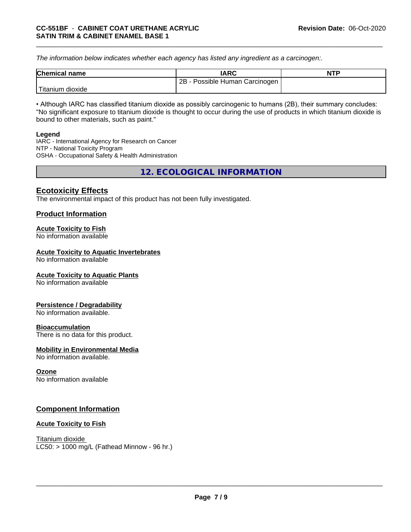*The information below indicateswhether each agency has listed any ingredient as a carcinogen:.*

| <b>Chemical name</b> | IARC                              | <b>NTP</b> |
|----------------------|-----------------------------------|------------|
|                      | 2B<br>Possible Human Carcinogen I |            |
| Titanium<br>dioxide  |                                   |            |

• Although IARC has classified titanium dioxide as possibly carcinogenic to humans (2B), their summary concludes: "No significant exposure to titanium dioxide is thought to occur during the use of products in which titanium dioxide is bound to other materials, such as paint."

#### **Legend**

IARC - International Agency for Research on Cancer NTP - National Toxicity Program OSHA - Occupational Safety & Health Administration

**12. ECOLOGICAL INFORMATION**

# **Ecotoxicity Effects**

The environmental impact of this product has not been fully investigated.

# **Product Information**

### **Acute Toxicity to Fish**

No information available

#### **Acute Toxicity to Aquatic Invertebrates**

No information available

# **Acute Toxicity to Aquatic Plants**

No information available

#### **Persistence / Degradability**

No information available.

#### **Bioaccumulation**

There is no data for this product.

#### **Mobility in Environmental Media**

No information available.

#### **Ozone**

No information available

# **Component Information**

#### **Acute Toxicity to Fish**

Titanium dioxide  $LC50:$  > 1000 mg/L (Fathead Minnow - 96 hr.)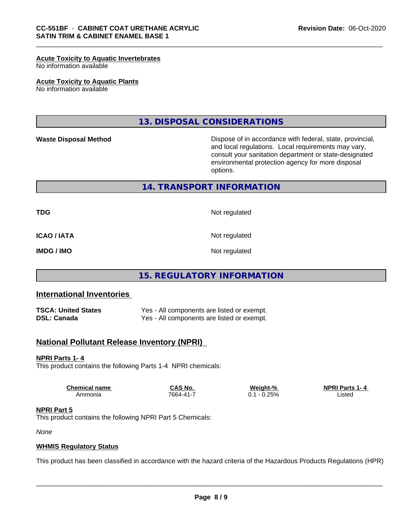#### **Acute Toxicity to Aquatic Invertebrates**

No information available

#### **Acute Toxicity to Aquatic Plants**

No information available

**13. DISPOSAL CONSIDERATIONS**

**Waste Disposal Method Dispose of in accordance with federal, state, provincial,** and local regulations. Local requirements may vary, consult your sanitation department or state-designated environmental protection agency for more disposal options.

# **14. TRANSPORT INFORMATION**

**TDG** Not regulated

**ICAO / IATA** Not regulated

**IMDG / IMO** Not regulated

# **15. REGULATORY INFORMATION**

#### **International Inventories**

**TSCA: United States** Yes - All components are listed or exempt.<br> **DSL: Canada** Yes - All components are listed or exempt. Yes - All components are listed or exempt.

# **National Pollutant Release Inventory (NPRI)**

#### **NPRI Parts 1- 4**

This product contains the following Parts 1-4 NPRI chemicals:

| <b>Chemical name</b> | $\sim$ $\cdot$<br>No.<br>7 ~ ~<br>⊶ | Weight-<br>eiaht-%                  | <b>NPRIP</b><br>. Parte<br>-4 |  |
|----------------------|-------------------------------------|-------------------------------------|-------------------------------|--|
| Ammonia              | 7664-41                             | 250<br>'J 70<br>υ.<br>$\sim$ $\sim$ | Listed                        |  |

#### **NPRI Part 5**

This product contains the following NPRI Part 5 Chemicals:

*None*

#### **WHMIS Regulatory Status**

This product has been classified in accordance with the hazard criteria of the Hazardous Products Regulations (HPR)